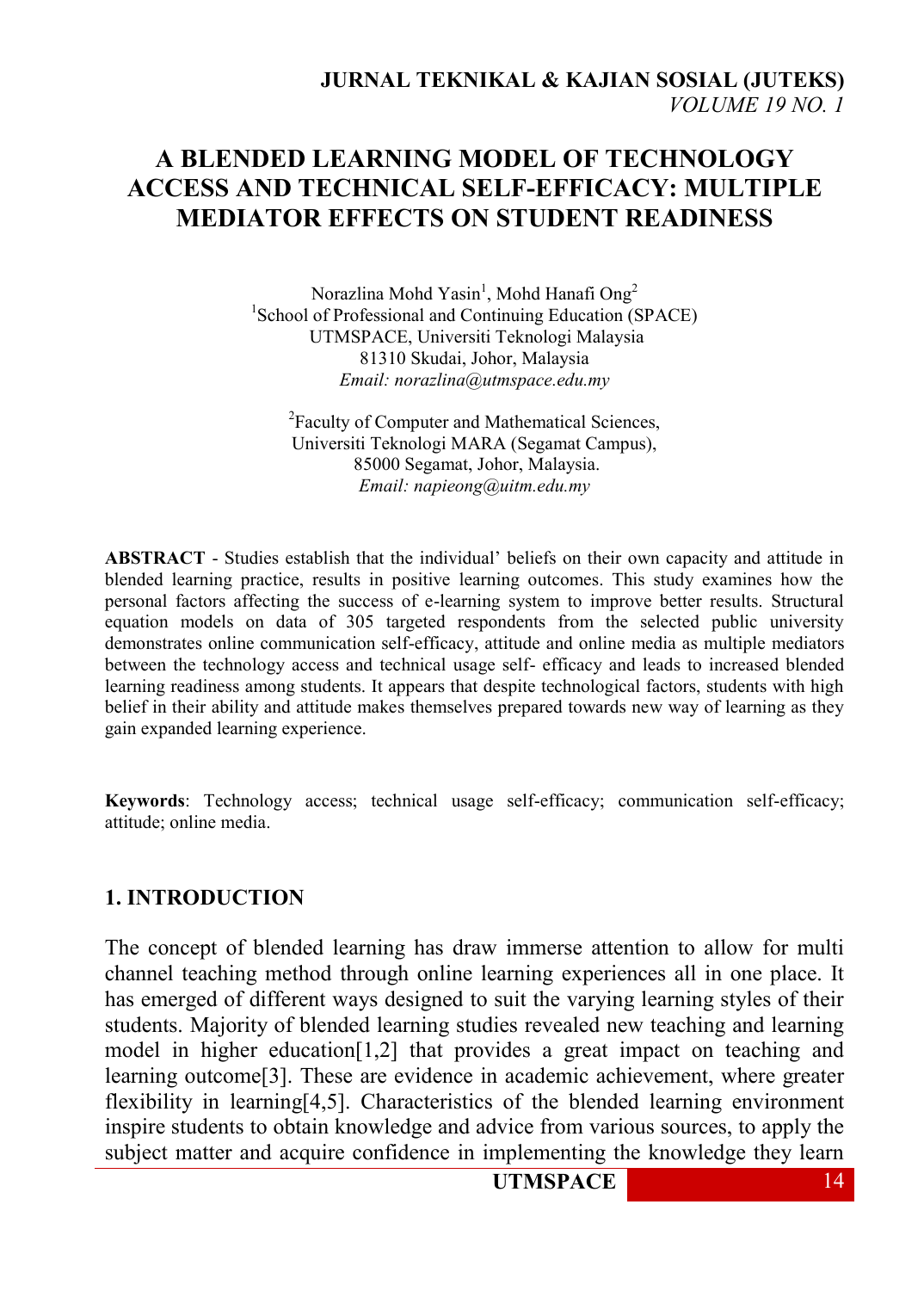# **A BLENDED LEARNING MODEL OF TECHNOLOGY ACCESS AND TECHNICAL SELF-EFFICACY: MULTIPLE MEDIATOR EFFECTS ON STUDENT READINESS**

Norazlina Mohd Yasin<sup>1</sup>, Mohd Hanafi Ong<sup>2</sup> <sup>1</sup>School of Professional and Continuing Education (SPACE) UTMSPACE, Universiti Teknologi Malaysia 81310 Skudai, Johor, Malaysia *Email: norazlina@utmspace.edu.my*

<sup>2</sup>Faculty of Computer and Mathematical Sciences, Universiti Teknologi MARA (Segamat Campus), 85000 Segamat, Johor, Malaysia. *Email: napieong@uitm.edu.my* 

**ABSTRACT** - Studies establish that the individual' beliefs on their own capacity and attitude in blended learning practice, results in positive learning outcomes. This study examines how the personal factors affecting the success of e-learning system to improve better results. Structural equation models on data of 305 targeted respondents from the selected public university demonstrates online communication self-efficacy, attitude and online media as multiple mediators between the technology access and technical usage self- efficacy and leads to increased blended learning readiness among students. It appears that despite technological factors, students with high belief in their ability and attitude makes themselves prepared towards new way of learning as they gain expanded learning experience.

**Keywords**: Technology access; technical usage self-efficacy; communication self-efficacy; attitude; online media.

### **1. INTRODUCTION**

The concept of blended learning has draw immerse attention to allow for multi channel teaching method through online learning experiences all in one place. It has emerged of different ways designed to suit the varying learning styles of their students. Majority of blended learning studies revealed new teaching and learning model in higher education[1,2] that provides a great impact on teaching and learning outcome[3]. These are evidence in academic achievement, where greater flexibility in learning[4,5]. Characteristics of the blended learning environment inspire students to obtain knowledge and advice from various sources, to apply the subject matter and acquire confidence in implementing the knowledge they learn

**UTMSPACE** 14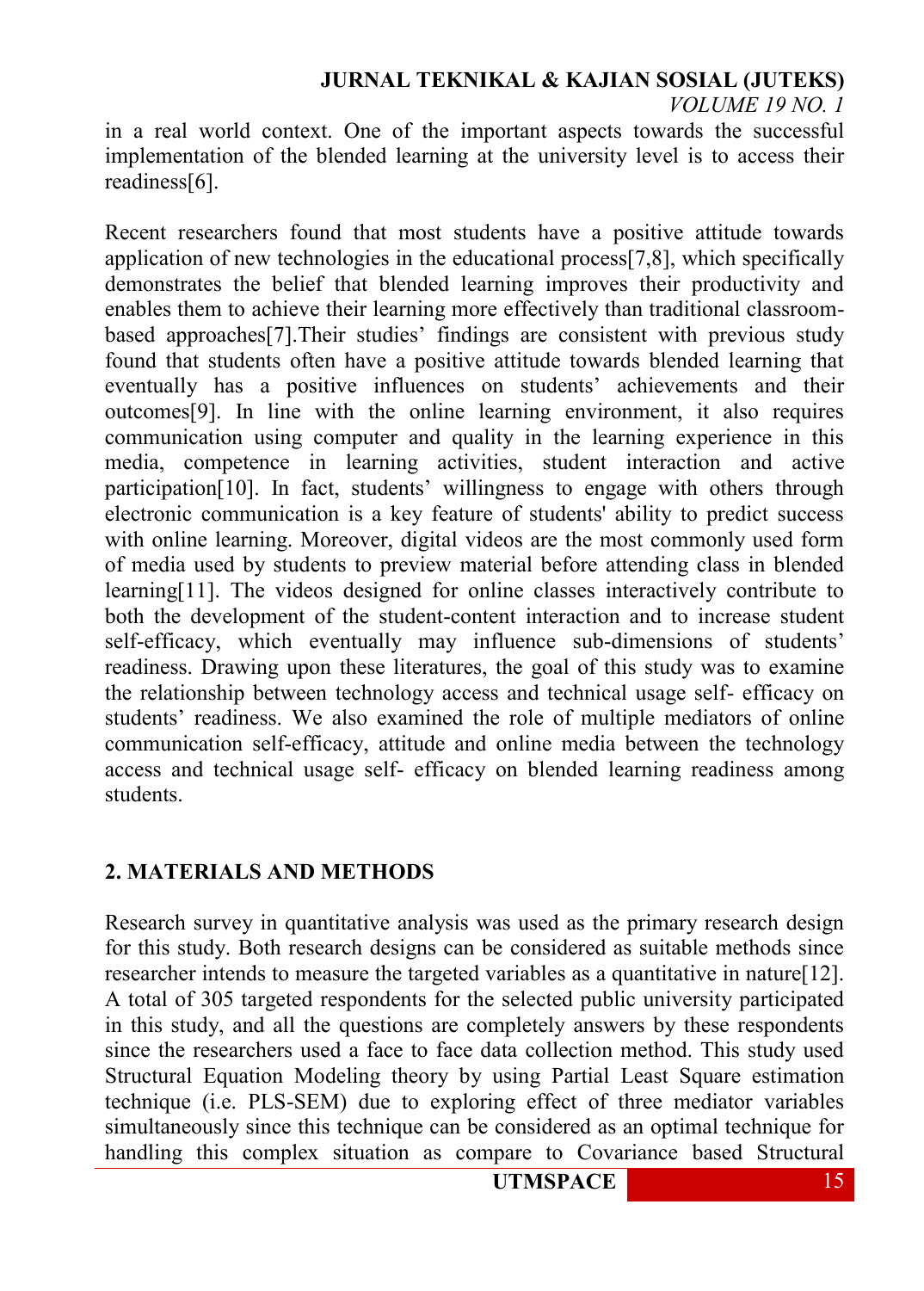#### **JURNAL TEKNIKAL & KAJIAN SOSIAL (JUTEKS)** *VOLUME 19 NO. 1*

in a real world context. One of the important aspects towards the successful implementation of the blended learning at the university level is to access their readiness[6].

Recent researchers found that most students have a positive attitude towards application of new technologies in the educational process[7,8], which specifically demonstrates the belief that blended learning improves their productivity and enables them to achieve their learning more effectively than traditional classroombased approaches[7].Their studies' findings are consistent with previous study found that students often have a positive attitude towards blended learning that eventually has a positive influences on students' achievements and their outcomes[9]. In line with the online learning environment, it also requires communication using computer and quality in the learning experience in this media, competence in learning activities, student interaction and active participation[10]. In fact, students' willingness to engage with others through electronic communication is a key feature of students' ability to predict success with online learning. Moreover, digital videos are the most commonly used form of media used by students to preview material before attending class in blended learning[11]. The videos designed for online classes interactively contribute to both the development of the student-content interaction and to increase student self-efficacy, which eventually may influence sub-dimensions of students' readiness. Drawing upon these literatures, the goal of this study was to examine the relationship between technology access and technical usage self- efficacy on students' readiness. We also examined the role of multiple mediators of online communication self-efficacy, attitude and online media between the technology access and technical usage self- efficacy on blended learning readiness among students.

### **2. MATERIALS AND METHODS**

Research survey in quantitative analysis was used as the primary research design for this study. Both research designs can be considered as suitable methods since researcher intends to measure the targeted variables as a quantitative in nature[12]. A total of 305 targeted respondents for the selected public university participated in this study, and all the questions are completely answers by these respondents since the researchers used a face to face data collection method. This study used Structural Equation Modeling theory by using Partial Least Square estimation technique (i.e. PLS-SEM) due to exploring effect of three mediator variables simultaneously since this technique can be considered as an optimal technique for handling this complex situation as compare to Covariance based Structural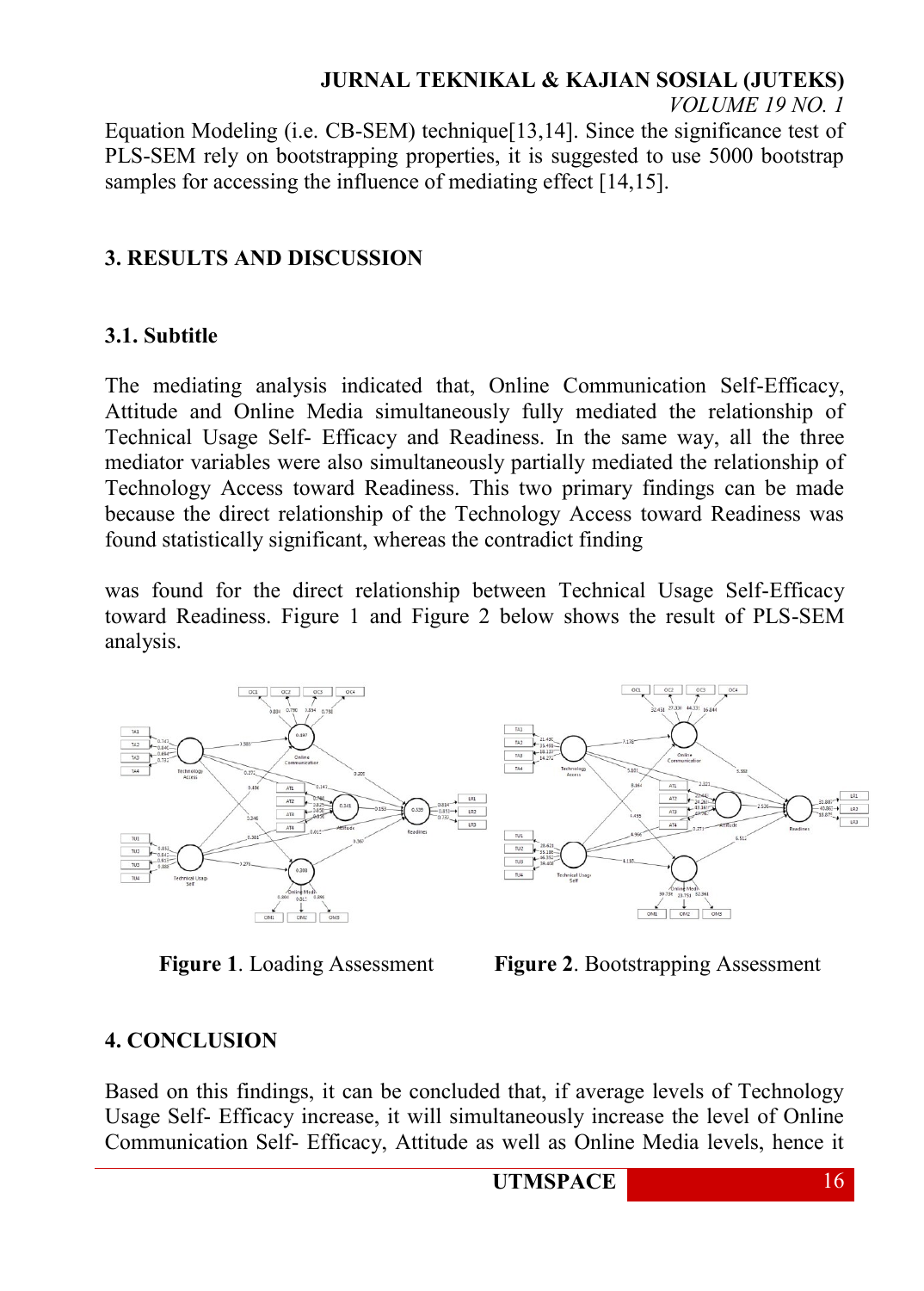### **JURNAL TEKNIKAL & KAJIAN SOSIAL (JUTEKS)**

*VOLUME 19 NO. 1*

Equation Modeling (i.e. CB-SEM) technique[13,14]. Since the significance test of PLS-SEM rely on bootstrapping properties, it is suggested to use 5000 bootstrap samples for accessing the influence of mediating effect [14,15].

## **3. RESULTS AND DISCUSSION**

### **3.1. Subtitle**

The mediating analysis indicated that, Online Communication Self-Efficacy, Attitude and Online Media simultaneously fully mediated the relationship of Technical Usage Self- Efficacy and Readiness. In the same way, all the three mediator variables were also simultaneously partially mediated the relationship of Technology Access toward Readiness. This two primary findings can be made because the direct relationship of the Technology Access toward Readiness was found statistically significant, whereas the contradict finding

was found for the direct relationship between Technical Usage Self-Efficacy toward Readiness. Figure 1 and Figure 2 below shows the result of PLS-SEM analysis.



**Figure 1**. Loading Assessment **Figure 2**. Bootstrapping Assessment

# **4. CONCLUSION**

Based on this findings, it can be concluded that, if average levels of Technology Usage Self- Efficacy increase, it will simultaneously increase the level of Online Communication Self- Efficacy, Attitude as well as Online Media levels, hence it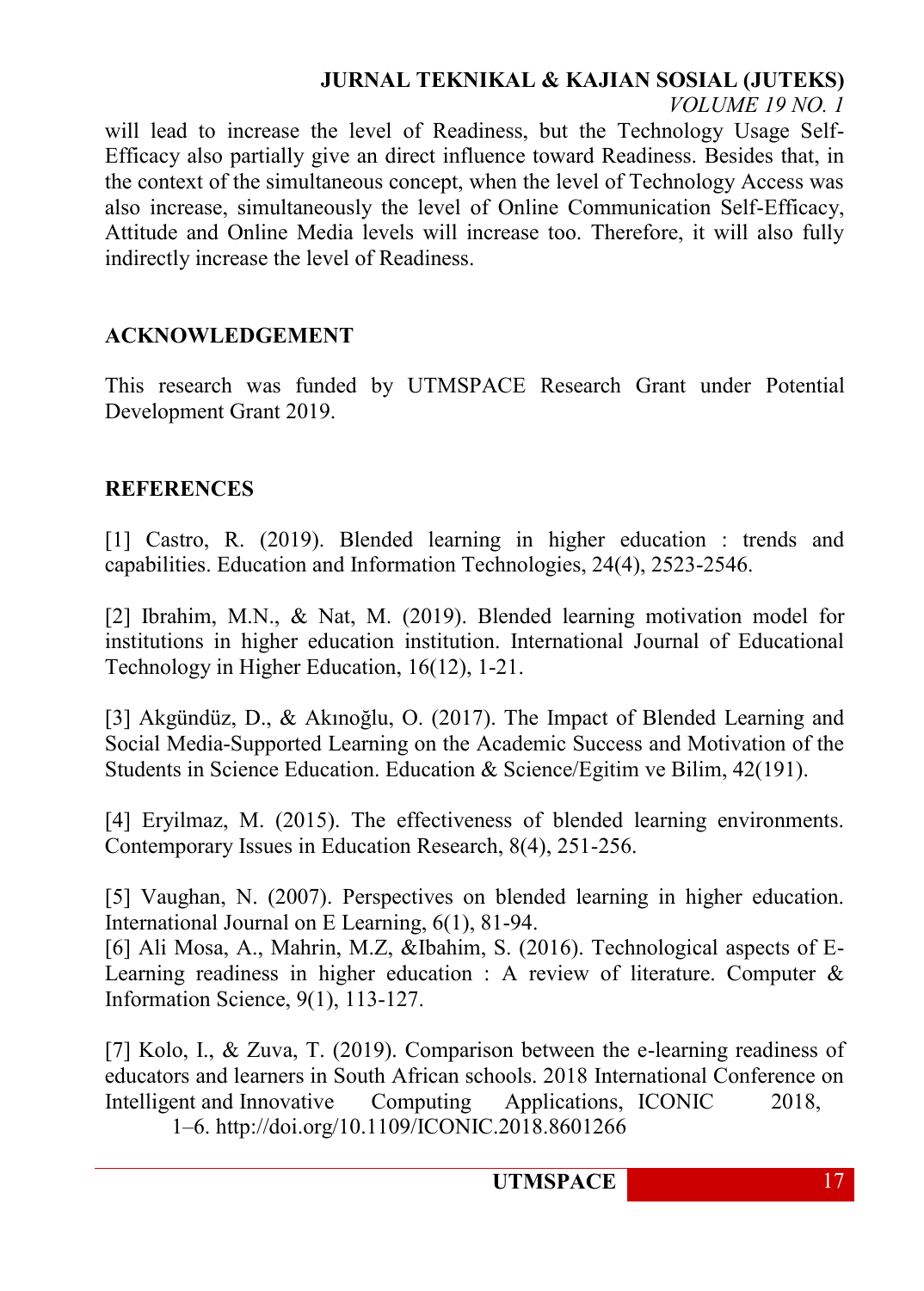# **JURNAL TEKNIKAL & KAJIAN SOSIAL (JUTEKS)**

*VOLUME 19 NO. 1*

will lead to increase the level of Readiness, but the Technology Usage Self-Efficacy also partially give an direct influence toward Readiness. Besides that, in the context of the simultaneous concept, when the level of Technology Access was also increase, simultaneously the level of Online Communication Self-Efficacy, Attitude and Online Media levels will increase too. Therefore, it will also fully indirectly increase the level of Readiness.

### **ACKNOWLEDGEMENT**

This research was funded by UTMSPACE Research Grant under Potential Development Grant 2019.

### **REFERENCES**

[1] Castro, R. (2019). Blended learning in higher education : trends and capabilities. Education and Information Technologies, 24(4), 2523-2546.

[2] Ibrahim, M.N., & Nat, M. (2019). Blended learning motivation model for institutions in higher education institution. International Journal of Educational Technology in Higher Education, 16(12), 1-21.

[3] Akgündüz, D., & Akınoğlu, O. (2017). The Impact of Blended Learning and Social Media-Supported Learning on the Academic Success and Motivation of the Students in Science Education. Education & Science/Egitim ve Bilim, 42(191).

[4] Eryilmaz, M. (2015). The effectiveness of blended learning environments. Contemporary Issues in Education Research, 8(4), 251-256.

[5] Vaughan, N. (2007). Perspectives on blended learning in higher education. International Journal on E Learning, 6(1), 81-94.

[6] Ali Mosa, A., Mahrin, M.Z, &Ibahim, S. (2016). Technological aspects of E-Learning readiness in higher education : A review of literature. Computer & Information Science, 9(1), 113-127.

[7] Kolo, I., & Zuva, T. (2019). Comparison between the e-learning readiness of educators and learners in South African schools. 2018 International Conference on Intelligent and Innovative Computing Applications, ICONIC 2018, 1–6. http://doi.org/10.1109/ICONIC.2018.8601266